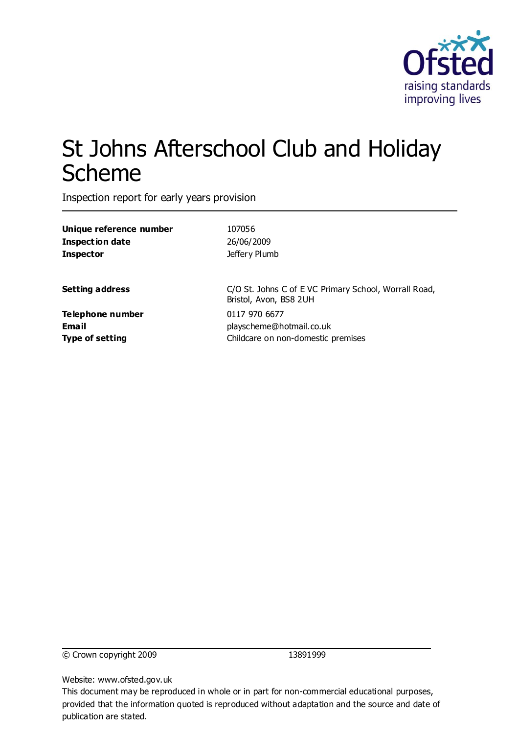

# St Johns Afterschool Club and Holiday Scheme

Inspection report for early years provision

| 107056                                                                          |
|---------------------------------------------------------------------------------|
| 26/06/2009                                                                      |
| Jeffery Plumb                                                                   |
| C/O St. Johns C of E VC Primary School, Worrall Road,<br>Bristol, Avon, BS8 2UH |
| 0117 970 6677                                                                   |
| playscheme@hotmail.co.uk                                                        |
| Childcare on non-domestic premises                                              |
|                                                                                 |
|                                                                                 |

© Crown copyright 2009 13891999

Website: www.ofsted.gov.uk

This document may be reproduced in whole or in part for non-commercial educational purposes, provided that the information quoted is reproduced without adaptation and the source and date of publication are stated.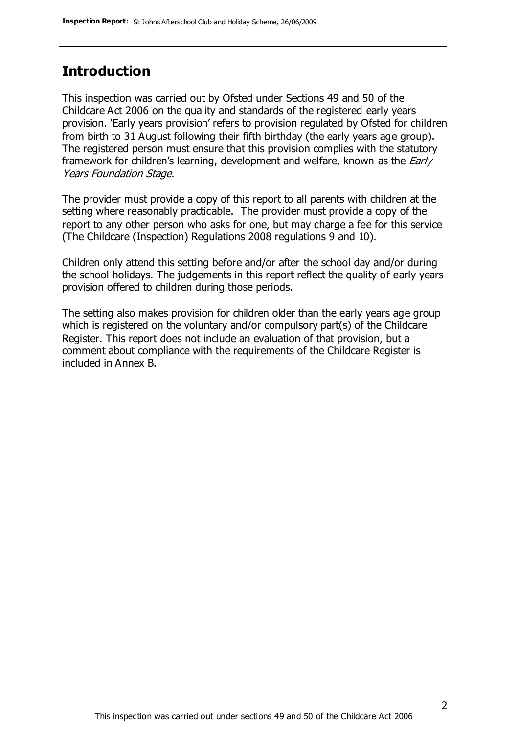#### **Introduction**

This inspection was carried out by Ofsted under Sections 49 and 50 of the Childcare Act 2006 on the quality and standards of the registered early years provision. 'Early years provision' refers to provision regulated by Ofsted for children from birth to 31 August following their fifth birthday (the early years age group). The registered person must ensure that this provision complies with the statutory framework for children's learning, development and welfare, known as the *Early* Years Foundation Stage.

The provider must provide a copy of this report to all parents with children at the setting where reasonably practicable. The provider must provide a copy of the report to any other person who asks for one, but may charge a fee for this service (The Childcare (Inspection) Regulations 2008 regulations 9 and 10).

Children only attend this setting before and/or after the school day and/or during the school holidays. The judgements in this report reflect the quality of early years provision offered to children during those periods.

The setting also makes provision for children older than the early years age group which is registered on the voluntary and/or compulsory part(s) of the Childcare Register. This report does not include an evaluation of that provision, but a comment about compliance with the requirements of the Childcare Register is included in Annex B.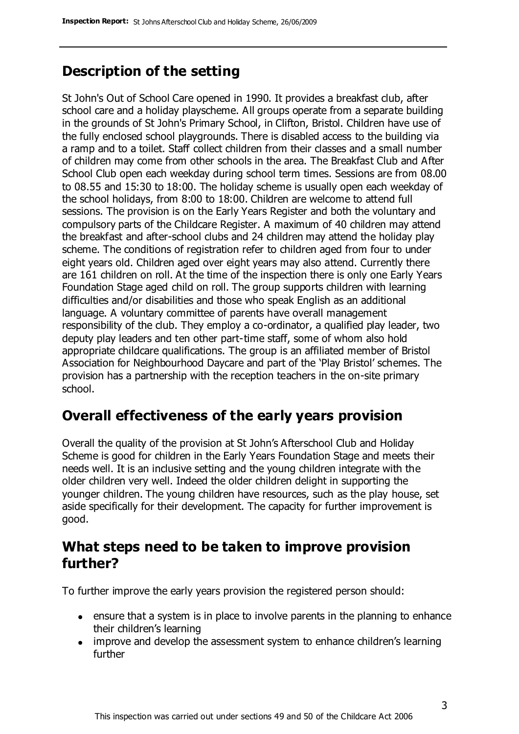# **Description of the setting**

St John's Out of School Care opened in 1990. It provides a breakfast club, after school care and a holiday playscheme. All groups operate from a separate building in the grounds of St John's Primary School, in Clifton, Bristol. Children have use of the fully enclosed school playgrounds. There is disabled access to the building via a ramp and to a toilet. Staff collect children from their classes and a small number of children may come from other schools in the area. The Breakfast Club and After School Club open each weekday during school term times. Sessions are from 08.00 to 08.55 and 15:30 to 18:00. The holiday scheme is usually open each weekday of the school holidays, from 8:00 to 18:00. Children are welcome to attend full sessions. The provision is on the Early Years Register and both the voluntary and compulsory parts of the Childcare Register. A maximum of 40 children may attend the breakfast and after-school clubs and 24 children may attend the holiday play scheme. The conditions of registration refer to children aged from four to under eight years old. Children aged over eight years may also attend. Currently there are 161 children on roll. At the time of the inspection there is only one Early Years Foundation Stage aged child on roll. The group supports children with learning difficulties and/or disabilities and those who speak English as an additional language. A voluntary committee of parents have overall management responsibility of the club. They employ a co-ordinator, a qualified play leader, two deputy play leaders and ten other part-time staff, some of whom also hold appropriate childcare qualifications. The group is an affiliated member of Bristol Association for Neighbourhood Daycare and part of the 'Play Bristol' schemes. The provision has a partnership with the reception teachers in the on-site primary school.

# **Overall effectiveness of the early years provision**

Overall the quality of the provision at St John's Afterschool Club and Holiday Scheme is good for children in the Early Years Foundation Stage and meets their needs well. It is an inclusive setting and the young children integrate with the older children very well. Indeed the older children delight in supporting the younger children. The young children have resources, such as the play house, set aside specifically for their development. The capacity for further improvement is good.

#### **What steps need to be taken to improve provision further?**

To further improve the early years provision the registered person should:

- ensure that a system is in place to involve parents in the planning to enhance their children's learning
- improve and develop the assessment system to enhance children's learning further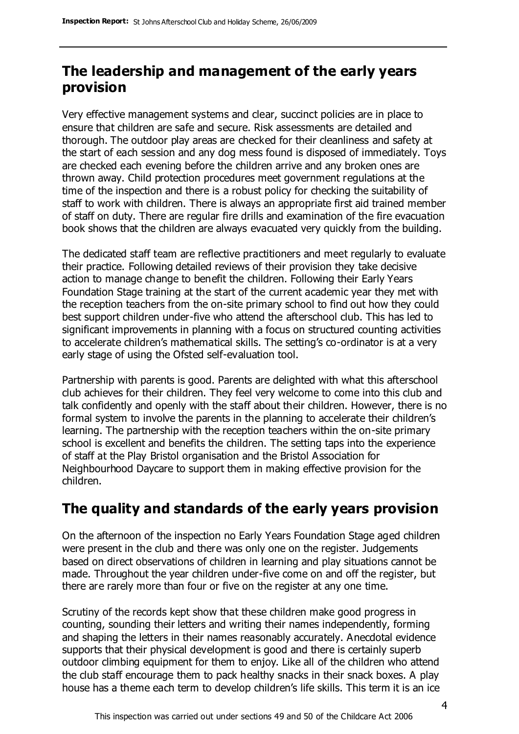# **The leadership and management of the early years provision**

Very effective management systems and clear, succinct policies are in place to ensure that children are safe and secure. Risk assessments are detailed and thorough. The outdoor play areas are checked for their cleanliness and safety at the start of each session and any dog mess found is disposed of immediately. Toys are checked each evening before the children arrive and any broken ones are thrown away. Child protection procedures meet government regulations at the time of the inspection and there is a robust policy for checking the suitability of staff to work with children. There is always an appropriate first aid trained member of staff on duty. There are regular fire drills and examination of the fire evacuation book shows that the children are always evacuated very quickly from the building.

The dedicated staff team are reflective practitioners and meet regularly to evaluate their practice. Following detailed reviews of their provision they take decisive action to manage change to benefit the children. Following their Early Years Foundation Stage training at the start of the current academic year they met with the reception teachers from the on-site primary school to find out how they could best support children under-five who attend the afterschool club. This has led to significant improvements in planning with a focus on structured counting activities to accelerate children's mathematical skills. The setting's co-ordinator is at a very early stage of using the Ofsted self-evaluation tool.

Partnership with parents is good. Parents are delighted with what this afterschool club achieves for their children. They feel very welcome to come into this club and talk confidently and openly with the staff about their children. However, there is no formal system to involve the parents in the planning to accelerate their children's learning. The partnership with the reception teachers within the on-site primary school is excellent and benefits the children. The setting taps into the experience of staff at the Play Bristol organisation and the Bristol Association for Neighbourhood Daycare to support them in making effective provision for the children.

# **The quality and standards of the early years provision**

On the afternoon of the inspection no Early Years Foundation Stage aged children were present in the club and there was only one on the register. Judgements based on direct observations of children in learning and play situations cannot be made. Throughout the year children under-five come on and off the register, but there are rarely more than four or five on the register at any one time.

Scrutiny of the records kept show that these children make good progress in counting, sounding their letters and writing their names independently, forming and shaping the letters in their names reasonably accurately. Anecdotal evidence supports that their physical development is good and there is certainly superb outdoor climbing equipment for them to enjoy. Like all of the children who attend the club staff encourage them to pack healthy snacks in their snack boxes. A play house has a theme each term to develop children's life skills. This term it is an ice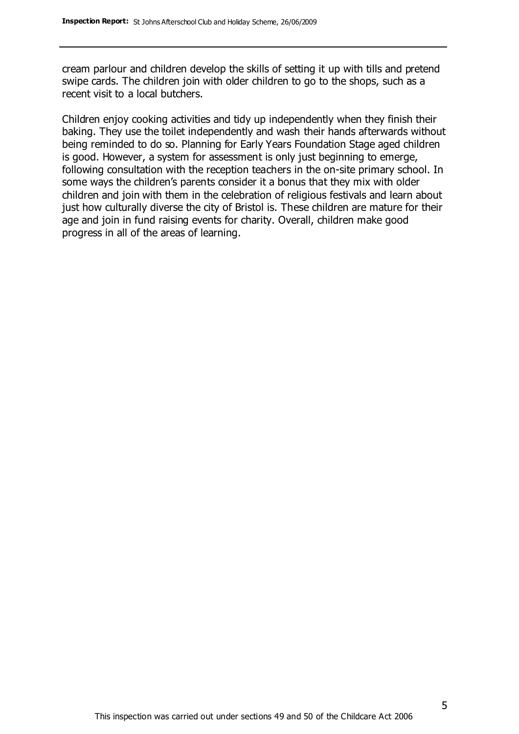cream parlour and children develop the skills of setting it up with tills and pretend swipe cards. The children join with older children to go to the shops, such as a recent visit to a local butchers.

Children enjoy cooking activities and tidy up independently when they finish their baking. They use the toilet independently and wash their hands afterwards without being reminded to do so. Planning for Early Years Foundation Stage aged children is good. However, a system for assessment is only just beginning to emerge, following consultation with the reception teachers in the on-site primary school. In some ways the children's parents consider it a bonus that they mix with older children and join with them in the celebration of religious festivals and learn about just how culturally diverse the city of Bristol is. These children are mature for their age and join in fund raising events for charity. Overall, children make good progress in all of the areas of learning.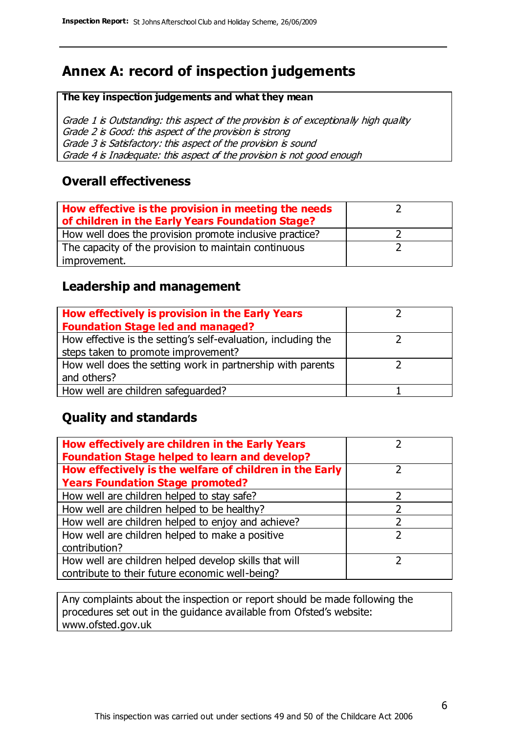# **Annex A: record of inspection judgements**

#### **The key inspection judgements and what they mean**

Grade 1 is Outstanding: this aspect of the provision is of exceptionally high quality Grade 2 is Good: this aspect of the provision is strong Grade 3 is Satisfactory: this aspect of the provision is sound Grade 4 is Inadequate: this aspect of the provision is not good enough

#### **Overall effectiveness**

| How effective is the provision in meeting the needs<br>of children in the Early Years Foundation Stage? |  |
|---------------------------------------------------------------------------------------------------------|--|
| How well does the provision promote inclusive practice?                                                 |  |
| The capacity of the provision to maintain continuous                                                    |  |
| improvement.                                                                                            |  |

#### **Leadership and management**

| How effectively is provision in the Early Years               |  |
|---------------------------------------------------------------|--|
| <b>Foundation Stage led and managed?</b>                      |  |
| How effective is the setting's self-evaluation, including the |  |
| steps taken to promote improvement?                           |  |
| How well does the setting work in partnership with parents    |  |
| and others?                                                   |  |
| How well are children safequarded?                            |  |

#### **Quality and standards**

| How effectively are children in the Early Years<br><b>Foundation Stage helped to learn and develop?</b> |               |
|---------------------------------------------------------------------------------------------------------|---------------|
| How effectively is the welfare of children in the Early                                                 | ר             |
| <b>Years Foundation Stage promoted?</b>                                                                 |               |
| How well are children helped to stay safe?                                                              |               |
| How well are children helped to be healthy?                                                             |               |
| How well are children helped to enjoy and achieve?                                                      | 2             |
| How well are children helped to make a positive                                                         | $\mathcal{P}$ |
| contribution?                                                                                           |               |
| How well are children helped develop skills that will                                                   |               |
| contribute to their future economic well-being?                                                         |               |

Any complaints about the inspection or report should be made following the procedures set out in the guidance available from Ofsted's website: www.ofsted.gov.uk